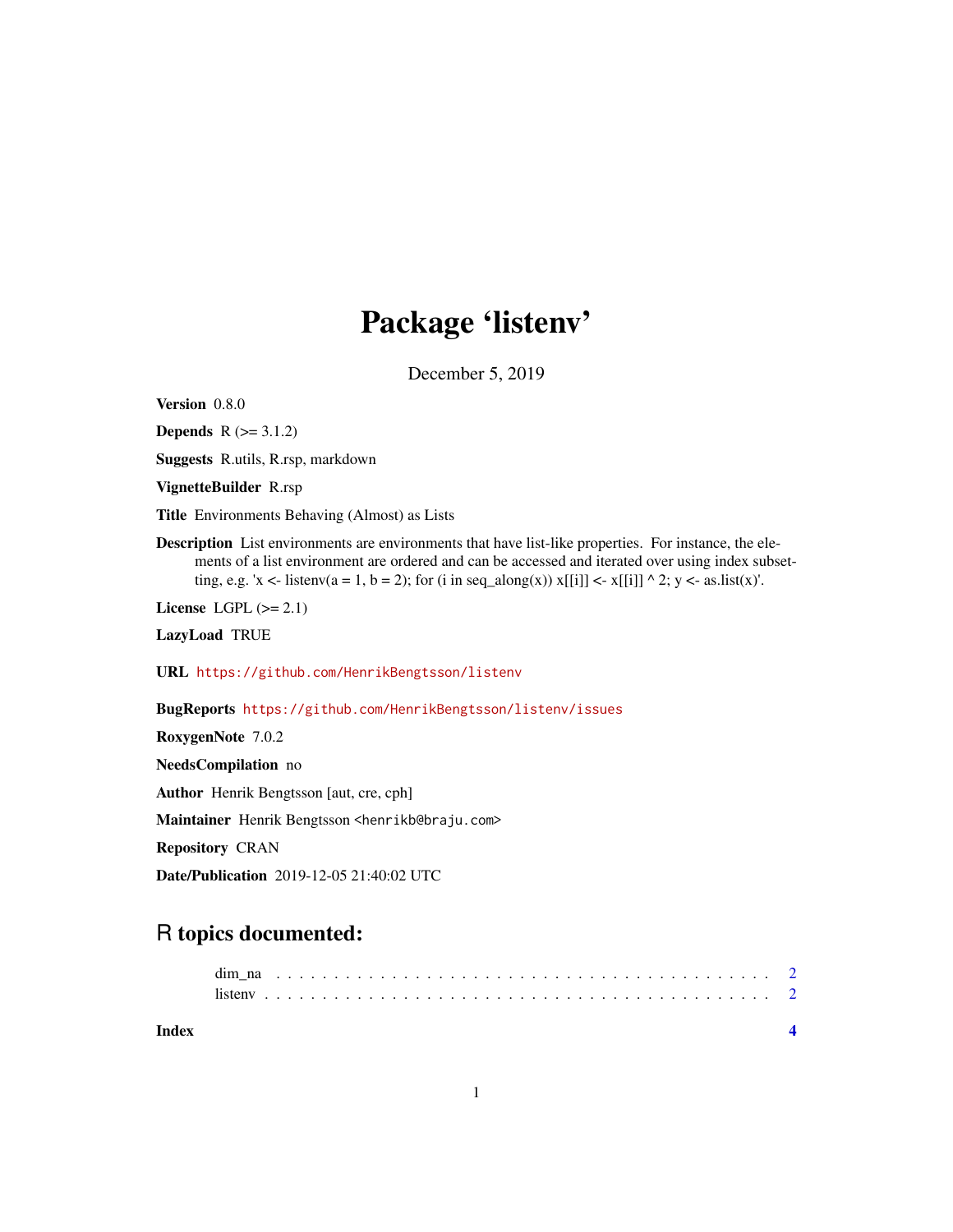## Package 'listenv'

December 5, 2019

<span id="page-0-0"></span>Version 0.8.0

**Depends**  $R$  ( $>= 3.1.2$ )

Suggests R.utils, R.rsp, markdown

VignetteBuilder R.rsp

Title Environments Behaving (Almost) as Lists

Description List environments are environments that have list-like properties. For instance, the elements of a list environment are ordered and can be accessed and iterated over using index subsetting, e.g. 'x <- listenv(a = 1, b = 2); for (i in seq\_along(x))  $x[[i]] < x[[i]] \land 2$ ; y <- as.list(x)'.

License LGPL  $(>= 2.1)$ 

LazyLoad TRUE

URL <https://github.com/HenrikBengtsson/listenv>

BugReports <https://github.com/HenrikBengtsson/listenv/issues>

RoxygenNote 7.0.2

NeedsCompilation no

Author Henrik Bengtsson [aut, cre, cph]

Maintainer Henrik Bengtsson <henrikb@braju.com>

Repository CRAN

Date/Publication 2019-12-05 21:40:02 UTC

### R topics documented:

| Index |  |  |  |  |  |  |  |  |  |  |  |  |  |  |  |  |  |  |  |  |  |  |
|-------|--|--|--|--|--|--|--|--|--|--|--|--|--|--|--|--|--|--|--|--|--|--|
|       |  |  |  |  |  |  |  |  |  |  |  |  |  |  |  |  |  |  |  |  |  |  |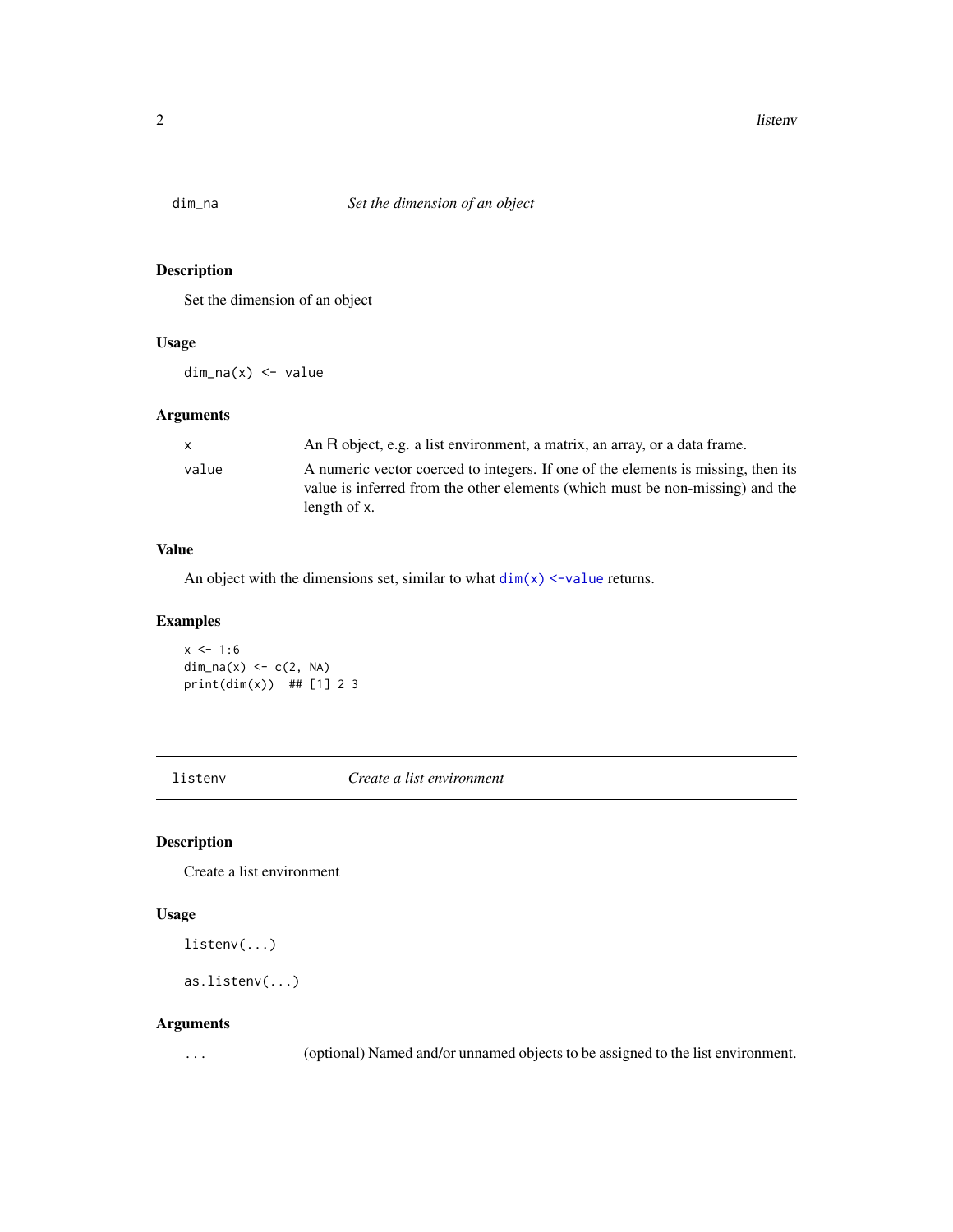<span id="page-1-0"></span>

#### Description

Set the dimension of an object

#### Usage

dim\_na(x) <- value

#### Arguments

| $\mathsf{x}$ | An R object, e.g. a list environment, a matrix, an array, or a data frame.                                                                                                         |
|--------------|------------------------------------------------------------------------------------------------------------------------------------------------------------------------------------|
| value        | A numeric vector coerced to integers. If one of the elements is missing, then its<br>value is inferred from the other elements (which must be non-missing) and the<br>length of x. |

#### Value

An object with the dimensions set, similar to what  $dim(x)$  <-value returns.

#### Examples

 $x \le -1:6$  $dim\_na(x) \leq c(2, NA)$  $print(dim(x))$  ## [1] 2 3

listenv *Create a list environment*

#### Description

Create a list environment

#### Usage

listenv(...)

```
as.listenv(...)
```
#### Arguments

... (optional) Named and/or unnamed objects to be assigned to the list environment.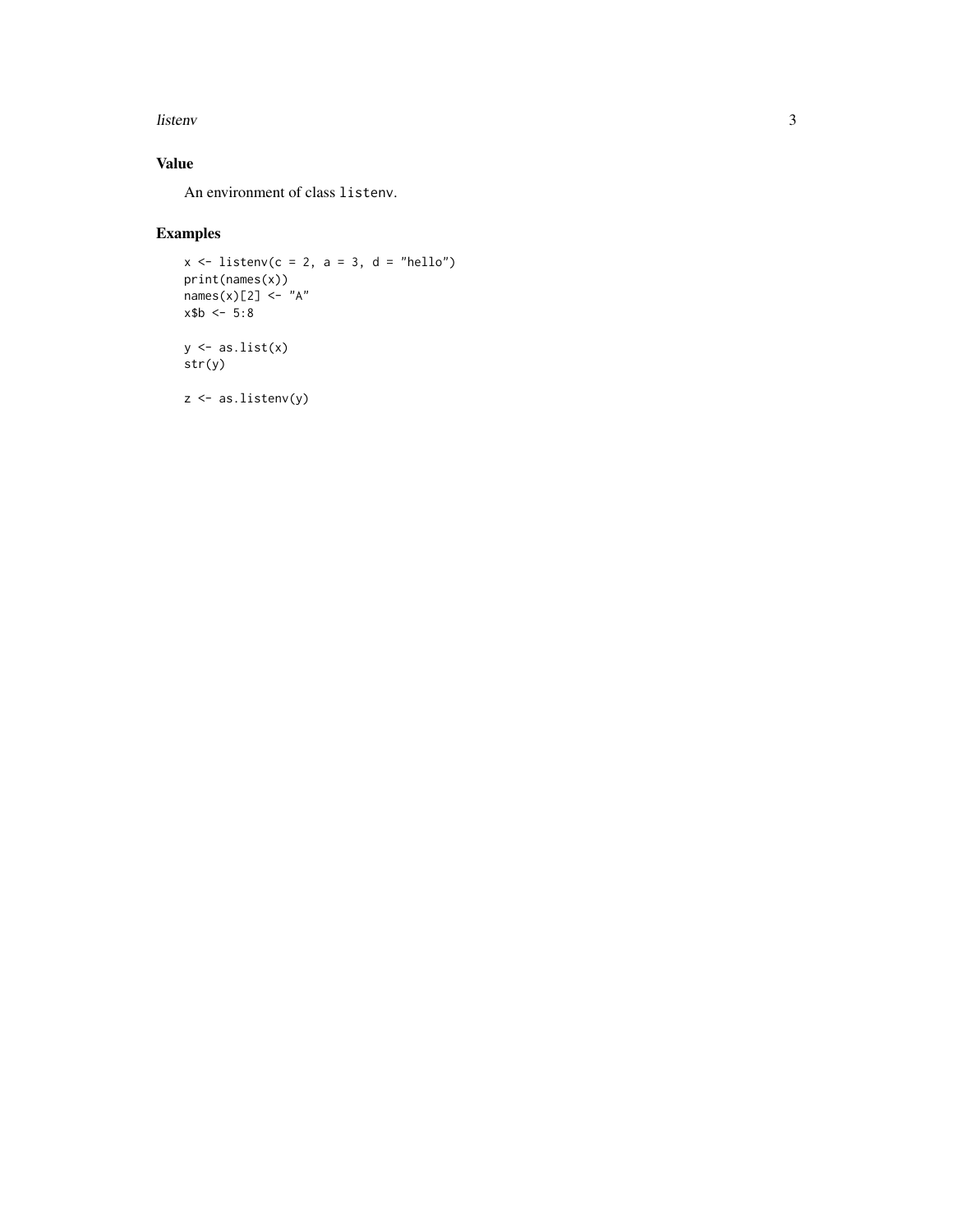#### listenv 3

#### Value

An environment of class listenv.

#### Examples

```
x \le - listenv(c = 2, a = 3, d = "hello")
print(names(x))
names(x)[2] <- "A"
x$b < -5:8y \leftarrow as.list(x)str(y)
z <- as.listenv(y)
```